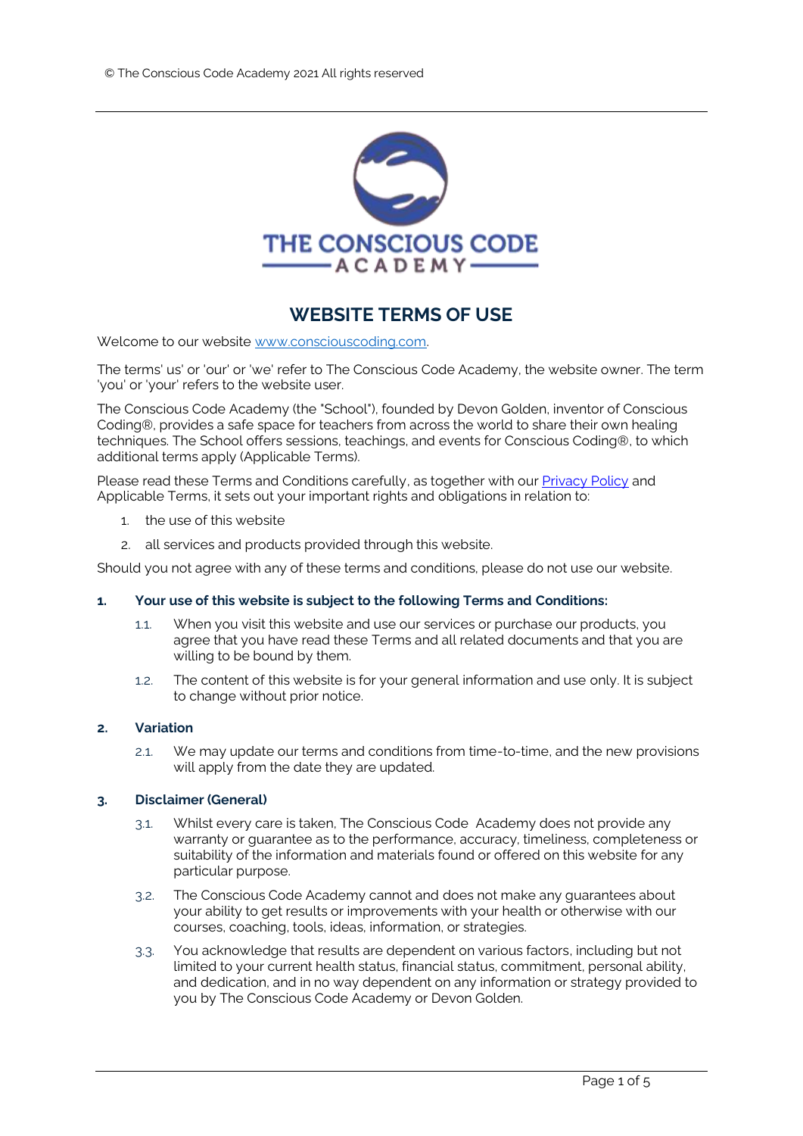

# **WEBSITE TERMS OF USE**

Welcome to our website [www.consciouscoding.com.](https://medicalintuitionschool.com/)

The terms' us' or 'our' or 'we' refer to The Conscious Code Academy, the website owner. The term 'you' or 'your' refers to the website user.

The Conscious Code Academy (the "School"), founded by Devon Golden, inventor of Conscious Coding®, provides a safe space for teachers from across the world to share their own healing techniques. The School offers sessions, teachings, and events for Conscious Coding®, to which additional terms apply (Applicable Terms).

Please read these Terms and Conditions carefully, as together with ou[r Privacy Policy](https://consciouscoding.com/privacy-policy) and Applicable Terms, it sets out your important rights and obligations in relation to:

- 1. the use of this website
- 2. all services and products provided through this website.

Should you not agree with any of these terms and conditions, please do not use our website.

# **1. Your use of this website is subject to the following Terms and Conditions:**

- 1.1. When you visit this website and use our services or purchase our products, you agree that you have read these Terms and all related documents and that you are willing to be bound by them.
- 1.2. The content of this website is for your general information and use only. It is subject to change without prior notice.

# **2. Variation**

2.1. We may update our terms and conditions from time-to-time, and the new provisions will apply from the date they are updated.

# **3. Disclaimer (General)**

- 3.1. Whilst every care is taken, The Conscious Code Academy does not provide any warranty or quarantee as to the performance, accuracy, timeliness, completeness or suitability of the information and materials found or offered on this website for any particular purpose.
- 3.2. The Conscious Code Academy cannot and does not make any guarantees about your ability to get results or improvements with your health or otherwise with our courses, coaching, tools, ideas, information, or strategies.
- 3.3. You acknowledge that results are dependent on various factors, including but not limited to your current health status, financial status, commitment, personal ability, and dedication, and in no way dependent on any information or strategy provided to you by The Conscious Code Academy or Devon Golden.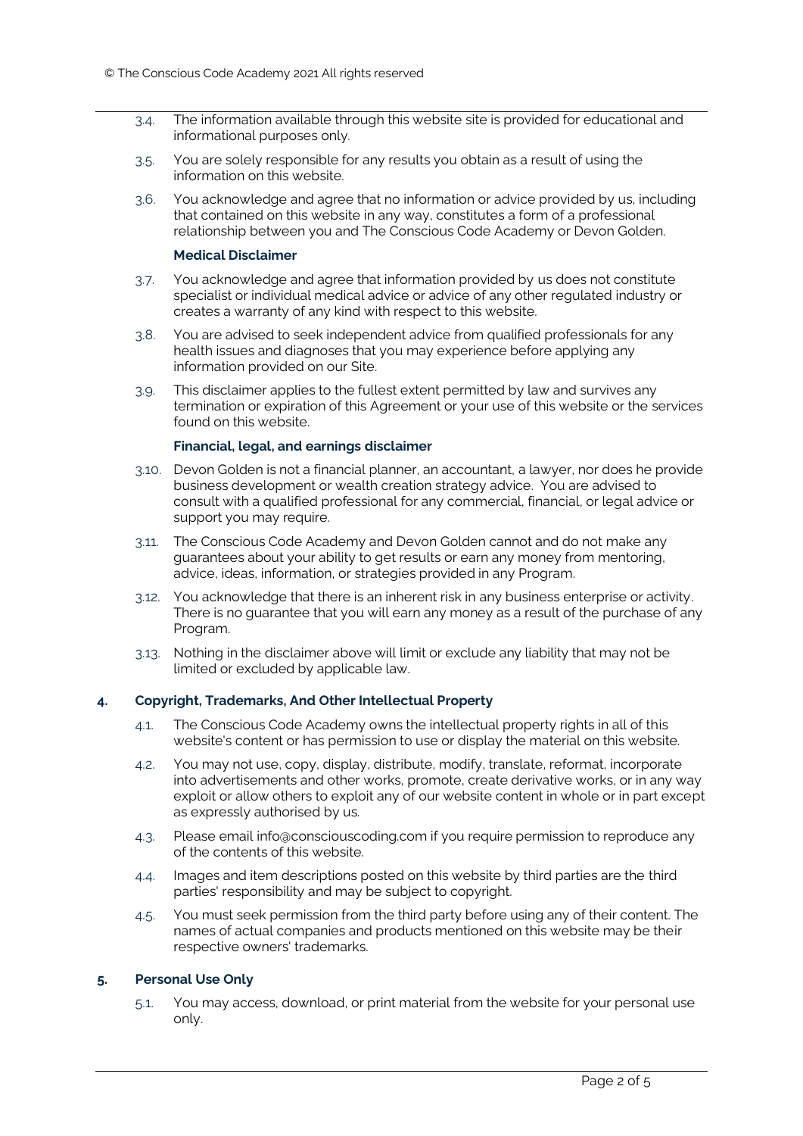- 3.4. The information available through this website site is provided for educational and informational purposes only.
- 3.5. You are solely responsible for any results you obtain as a result of using the information on this website.
- 3.6. You acknowledge and agree that no information or advice provided by us, including that contained on this website in any way, constitutes a form of a professional relationship between you and The Conscious Code Academy or Devon Golden.

#### **Medical Disclaimer**

- 3.7. You acknowledge and agree that information provided by us does not constitute specialist or individual medical advice or advice of any other regulated industry or creates a warranty of any kind with respect to this website.
- 3.8. You are advised to seek independent advice from qualified professionals for any health issues and diagnoses that you may experience before applying any information provided on our Site.
- 3.9. This disclaimer applies to the fullest extent permitted by law and survives any termination or expiration of this Agreement or your use of this website or the services found on this website.

## **Financial, legal, and earnings disclaimer**

- 3.10. Devon Golden is not a financial planner, an accountant, a lawyer, nor does he provide business development or wealth creation strategy advice. You are advised to consult with a qualified professional for any commercial, financial, or legal advice or support you may require.
- 3.11. The Conscious Code Academy and Devon Golden cannot and do not make any guarantees about your ability to get results or earn any money from mentoring, advice, ideas, information, or strategies provided in any Program.
- 3.12. You acknowledge that there is an inherent risk in any business enterprise or activity. There is no guarantee that you will earn any money as a result of the purchase of any Program.
- 3.13. Nothing in the disclaimer above will limit or exclude any liability that may not be limited or excluded by applicable law.

# **4. Copyright, Trademarks, And Other Intellectual Property**

- 4.1. The Conscious Code Academy owns the intellectual property rights in all of this website's content or has permission to use or display the material on this website.
- 4.2. You may not use, copy, display, distribute, modify, translate, reformat, incorporate into advertisements and other works, promote, create derivative works, or in any way exploit or allow others to exploit any of our website content in whole or in part except as expressly authorised by us.
- 4.3. Please email info@consciouscoding.com if you require permission to reproduce any of the contents of this website.
- 4.4. Images and item descriptions posted on this website by third parties are the third parties' responsibility and may be subject to copyright.
- 4.5. You must seek permission from the third party before using any of their content. The names of actual companies and products mentioned on this website may be their respective owners' trademarks.

# **5. Personal Use Only**

5.1. You may access, download, or print material from the website for your personal use only.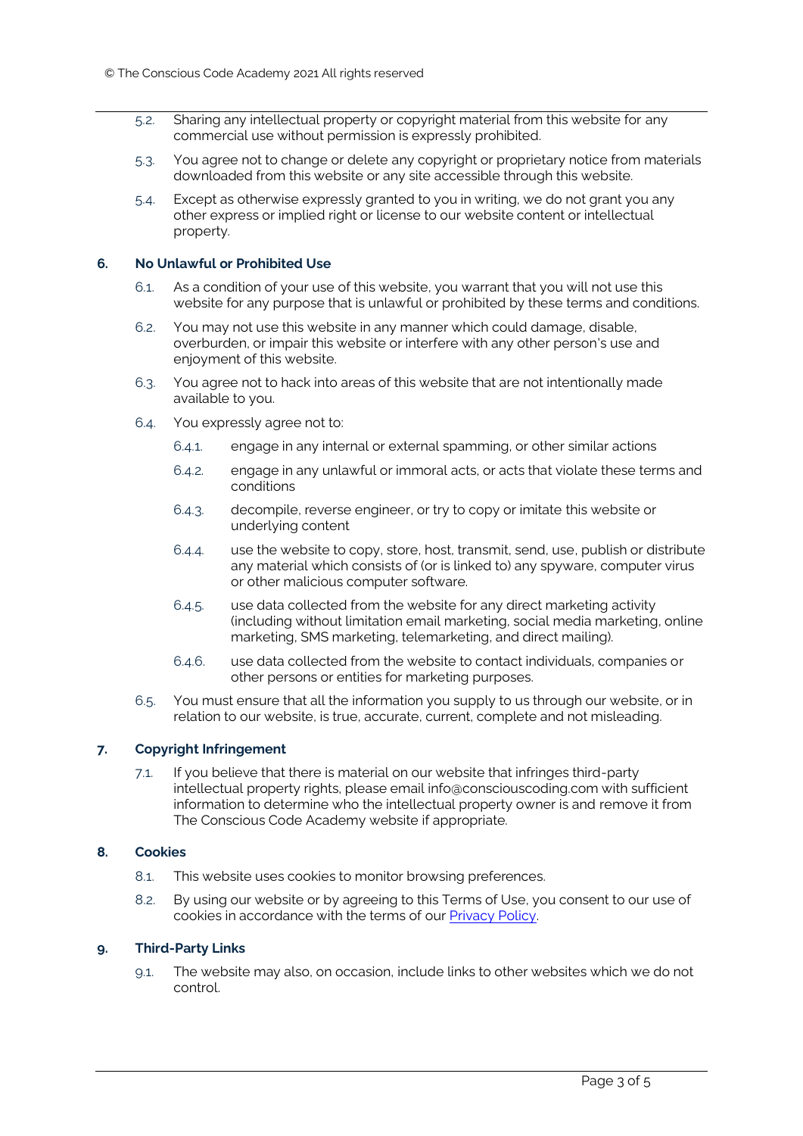- 5.2. Sharing any intellectual property or copyright material from this website for any commercial use without permission is expressly prohibited.
- 5.3. You agree not to change or delete any copyright or proprietary notice from materials downloaded from this website or any site accessible through this website.
- 5.4. Except as otherwise expressly granted to you in writing, we do not grant you any other express or implied right or license to our website content or intellectual property.

## **6. No Unlawful or Prohibited Use**

- 6.1. As a condition of your use of this website, you warrant that you will not use this website for any purpose that is unlawful or prohibited by these terms and conditions.
- 6.2. You may not use this website in any manner which could damage, disable, overburden, or impair this website or interfere with any other person's use and enjoyment of this website.
- 6.3. You agree not to hack into areas of this website that are not intentionally made available to you.
- 6.4. You expressly agree not to:
	- 6.4.1. engage in any internal or external spamming, or other similar actions
	- 6.4.2. engage in any unlawful or immoral acts, or acts that violate these terms and conditions
	- 6.4.3. decompile, reverse engineer, or try to copy or imitate this website or underlying content
	- 6.4.4. use the website to copy, store, host, transmit, send, use, publish or distribute any material which consists of (or is linked to) any spyware, computer virus or other malicious computer software.
	- 6.4.5. use data collected from the website for any direct marketing activity (including without limitation email marketing, social media marketing, online marketing, SMS marketing, telemarketing, and direct mailing).
	- 6.4.6. use data collected from the website to contact individuals, companies or other persons or entities for marketing purposes.
- 6.5. You must ensure that all the information you supply to us through our website, or in relation to our website, is true, accurate, current, complete and not misleading.

# **7. Copyright Infringement**

7.1. If you believe that there is material on our website that infringes third-party intellectual property rights, please email info@consciouscoding.com with sufficient information to determine who the intellectual property owner is and remove it from The Conscious Code Academy website if appropriate.

## **8. Cookies**

- 8.1. This website uses cookies to monitor browsing preferences.
- 8.2. By using our website or by agreeing to this Terms of Use, you consent to our use of cookies in accordance with the terms of our [Privacy Policy.](https://consciouscoding.com/privacy-policy)

#### **9. Third-Party Links**

9.1. The website may also, on occasion, include links to other websites which we do not control.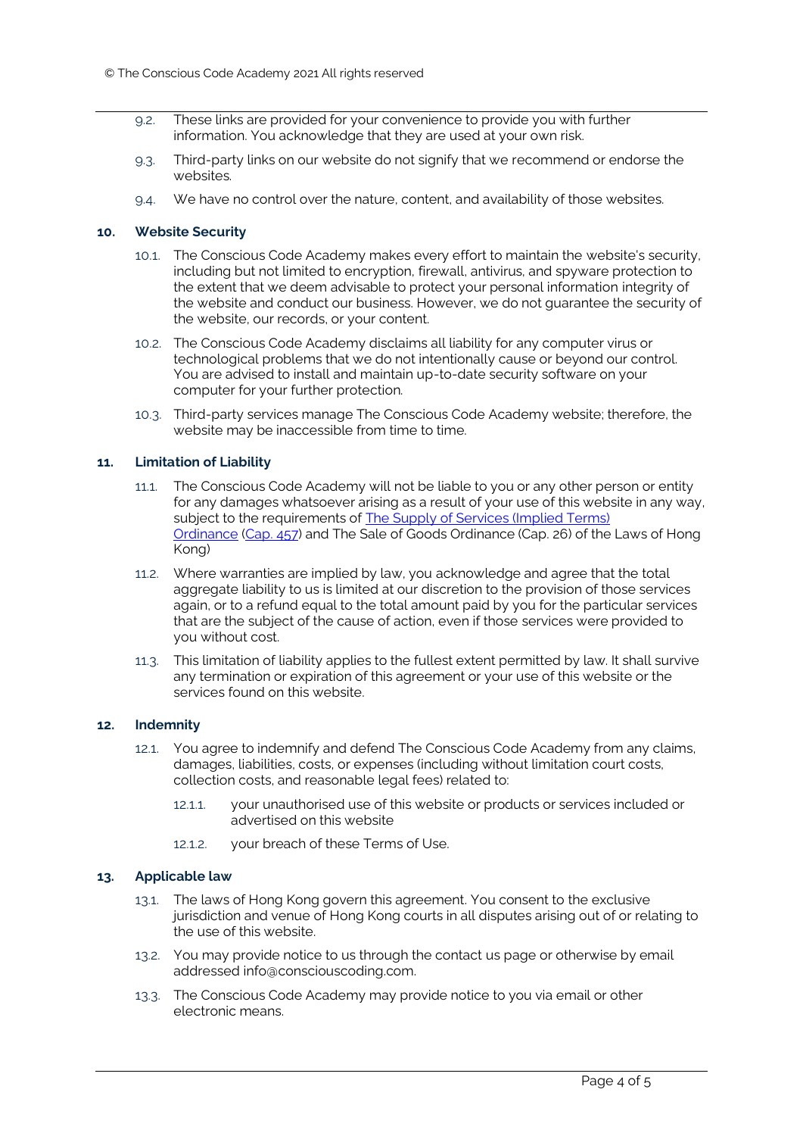- 9.2. These links are provided for your convenience to provide you with further information. You acknowledge that they are used at your own risk.
- 9.3. Third-party links on our website do not signify that we recommend or endorse the websites.
- 9.4. We have no control over the nature, content, and availability of those websites.

## **10. Website Security**

- 10.1. The Conscious Code Academy makes every effort to maintain the website's security, including but not limited to encryption, firewall, antivirus, and spyware protection to the extent that we deem advisable to protect your personal information integrity of the website and conduct our business. However, we do not guarantee the security of the website, our records, or your content.
- 10.2. The Conscious Code Academy disclaims all liability for any computer virus or technological problems that we do not intentionally cause or beyond our control. You are advised to install and maintain up-to-date security software on your computer for your further protection.
- 10.3. Third-party services manage The Conscious Code Academy website; therefore, the website may be inaccessible from time to time.

# **11. Limitation of Liability**

- 11.1. The Conscious Code Academy will not be liable to you or any other person or entity for any damages whatsoever arising as a result of your use of this website in any way, subject to the requirements of [The Supply of Services \(Implied Terms\)](http://www.hklii.org/hk/legis/en/ord/457/)  [Ordinance](http://www.hklii.org/hk/legis/en/ord/457/) [\(Cap. 457\)](http://www.hklii.org/hk/legis/en/ord/457/) and The Sale of Goods Ordinance (Cap. 26) of the Laws of Hong Kong)
- 11.2. Where warranties are implied by law, you acknowledge and agree that the total aggregate liability to us is limited at our discretion to the provision of those services again, or to a refund equal to the total amount paid by you for the particular services that are the subject of the cause of action, even if those services were provided to you without cost.
- 11.3. This limitation of liability applies to the fullest extent permitted by law. It shall survive any termination or expiration of this agreement or your use of this website or the services found on this website.

#### **12. Indemnity**

- 12.1. You agree to indemnify and defend The Conscious Code Academy from any claims, damages, liabilities, costs, or expenses (including without limitation court costs, collection costs, and reasonable legal fees) related to:
	- 12.1.1. your unauthorised use of this website or products or services included or advertised on this website
	- 12.1.2. your breach of these Terms of Use.

#### **13. Applicable law**

- 13.1. The laws of Hong Kong govern this agreement. You consent to the exclusive jurisdiction and venue of Hong Kong courts in all disputes arising out of or relating to the use of this website.
- 13.2. You may provide notice to us through the contact us page or otherwise by email addressed info@consciouscoding.com.
- 13.3. The Conscious Code Academy may provide notice to you via email or other electronic means.